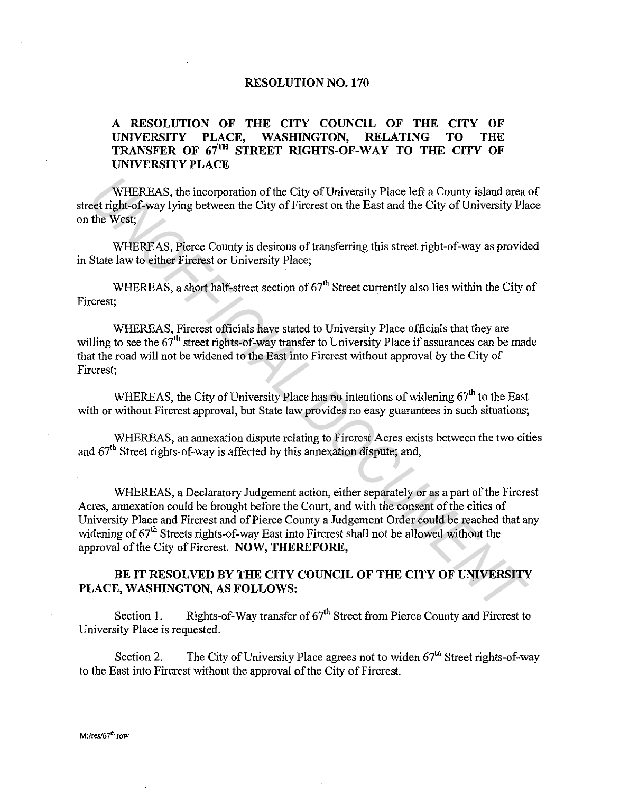## **RESOLUTION N0.170**

## **A RESOLUTION OF THE CITY COUNCIL OF THE CITY OF UNIVERSITY PLACE, WASHINGTON, RELATING TO THE TRANSFER OF 67TH STREET RIGHTS-OF-WAY TO THE CITY OF UNIVERSITY PLACE**

WHEREAS, the incorporation of the City of University Place left a County island area of street right-of-way lying between the City of Fircrest on the East and the City of University Place on the West;

WHEREAS, Pierce County is desirous of transferring this street right-of-way as provided in State law to either Fircrest or University Place;

WHEREAS, a short half-street section of 67<sup>th</sup> Street currently also lies within the City of Fircrest;

WHEREAS, Fircrest officials have stated to University Place officials that they are willing to see the  $67<sup>th</sup>$  street rights-of-way transfer to University Place if assurances can be made that the road will not be widened to the East into Fircrest without approval by the City of Fircrest;

WHEREAS, the City of University Place has no intentions of widening 67<sup>th</sup> to the East with or without Fircrest approval, but State law provides no easy guarantees in such situations;

WHEREAS, an annexation dispute relating to Fircrest Acres exists between the two cities and  $67<sup>th</sup>$  Street rights-of-way is affected by this annexation dispute; and,

WHEREAS, a Declaratory Judgement action, either separately or as a part of the Fircrest Acres, annexation could be brought before the Court, and with the consent of the cities of University Place and Fircrest and of Pierce County a Judgement Order could be reached that any widening of  $67<sup>th</sup>$  Streets rights-of-way East into Fircrest shall not be allowed without the approval of the City of Fircrest. **NOW, THEREFORE,**  WHEREAS, the incorporation of the City of University Place left a County island area<br>
et right-of-way lying between the City of Firerest on the East and the City of University Pla<br>
the West;<br>
WHEREAS, Pierce County is des

## **BE IT RESOLVED BY THE CITY COUNCIL OF THE CITY OF UNIVERSITY PLACE, WASHINGTON, AS FOLLOWS:**

Section 1. Rights-of-Way transfer of  $67<sup>th</sup>$  Street from Pierce County and Fircrest to University Place is requested.

Section 2. The City of University Place agrees not to widen  $67<sup>th</sup>$  Street rights-of-way to the East into Fircrest without the approval of the City of Fircrest.